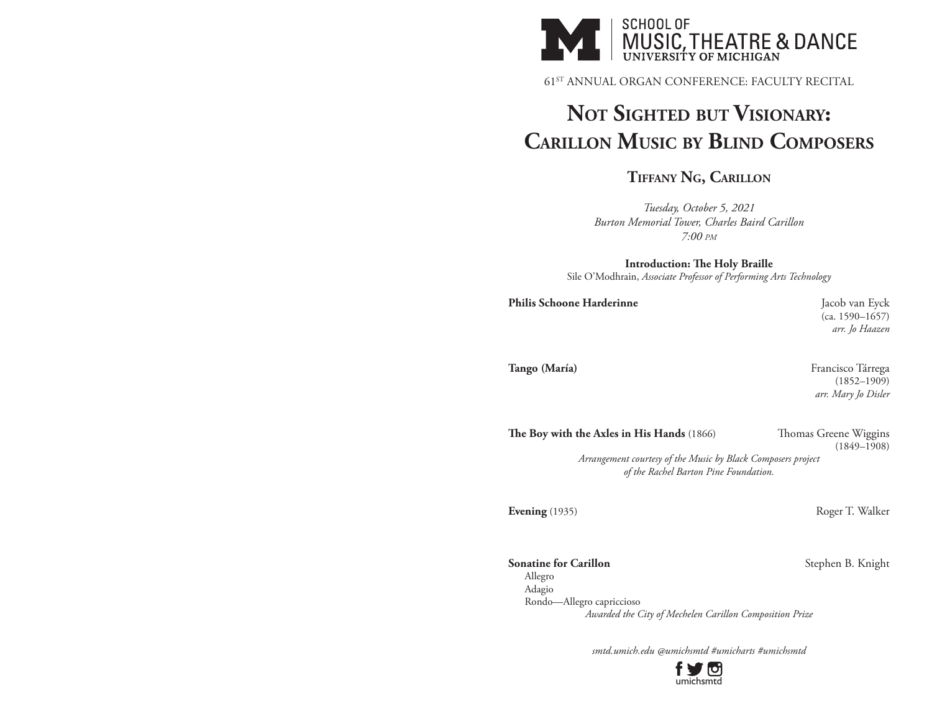

61ST ANNUAL ORGAN CONFERENCE: FACULTY RECITAL

## **Not Sighted but Visionary: Carillon Music by Blind Composers**

**Tiffany Ng, Carillon**

*Tuesday, October 5, 2021 Burton Memorial Tower, Charles Baird Carillon 7:00 pm*

**Introduction: The Holy Braille** Sile O'Modhrain, *Associate Professor of Performing Arts Technology*

Philis Schoone Harderinne **Jacob van Eyck** 

(ca. 1590–1657) *arr. Jo Haazen*

**Tango (María)** Francisco Tárrega (María) (1852–1909) *arr. Mary Jo Disler*

The Boy with the Axles in His Hands (1866) Thomas Greene Wiggins

(1849–1908)

*Arrangement courtesy of the Music by Black Composers project of the Rachel Barton Pine Foundation.*

**Evening** (1935) Roger T. Walker

**Sonatine for Carillon** Stephen B. Knight

Allegro Adagio Rondo—Allegro capriccioso *Awarded the City of Mechelen Carillon Composition Prize*

*smtd.umich.edu @umichsmtd #umicharts #umichsmtd*